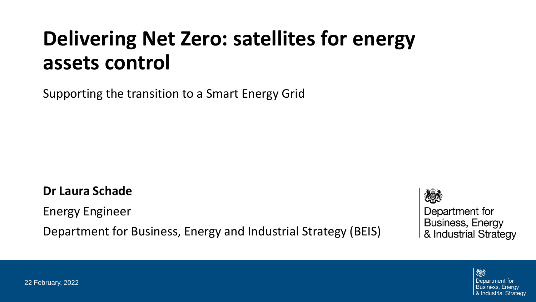# **Delivering Net Zero: satellites for energy assets control**

Supporting the transition to a Smart Energy Grid

**Dr Laura Schade**

Energy Engineer

Department for Business, Energy and Industrial Strategy (BEIS)

Department for **Business, Energy** & Industrial Strategy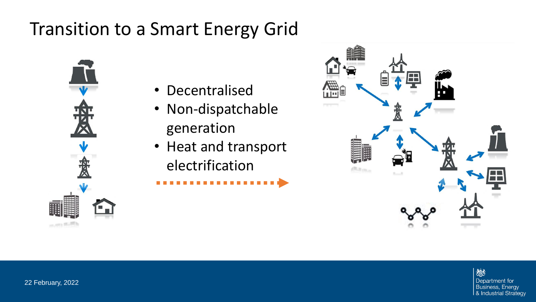### Transition to a Smart Energy Grid



- Decentralised
- Non-dispatchable generation
- Heat and transport electrification

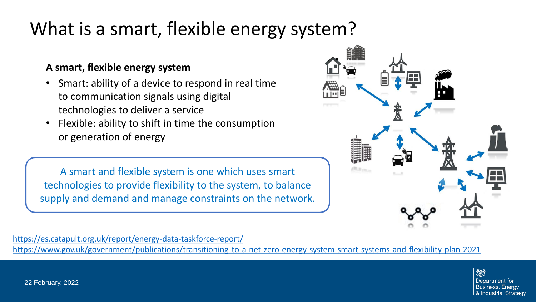### What is a smart, flexible energy system?

#### **A smart, flexible energy system**

- Smart: ability of a device to respond in real time to communication signals using digital technologies to deliver a service
- Flexible: ability to shift in time the consumption or generation of energy

A smart and flexible system is one which uses smart technologies to provide flexibility to the system, to balance supply and demand and manage constraints on the network.



<https://es.catapult.org.uk/report/energy-data-taskforce-report/> <https://www.gov.uk/government/publications/transitioning-to-a-net-zero-energy-system-smart-systems-and-flexibility-plan-2021>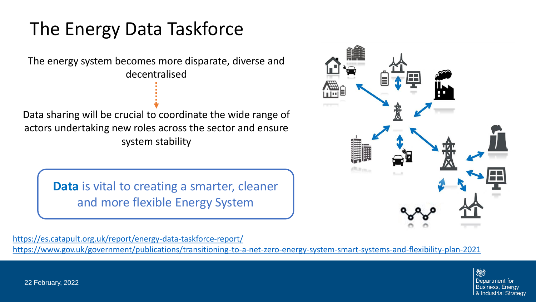### The Energy Data Taskforce

The energy system becomes more disparate, diverse and decentralised

Data sharing will be crucial to coordinate the wide range of actors undertaking new roles across the sector and ensure system stability

> **Data** is vital to creating a smarter, cleaner and more flexible Energy System



<https://es.catapult.org.uk/report/energy-data-taskforce-report/>

<https://www.gov.uk/government/publications/transitioning-to-a-net-zero-energy-system-smart-systems-and-flexibility-plan-2021>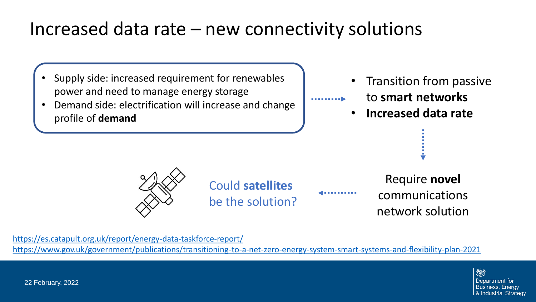### Increased data rate – new connectivity solutions

- Supply side: increased requirement for renewables power and need to manage energy storage
- Demand side: electrification will increase and change profile of **demand**

• Transition from passive

- to **smart networks**
- **Increased data rate**

(Send backwards until image appears behind title. Do not cover the footer banner.)

Could **satellites** be the solution?

Require **novel** communications network solution

<https://es.catapult.org.uk/report/energy-data-taskforce-report/>

<https://www.gov.uk/government/publications/transitioning-to-a-net-zero-energy-system-smart-systems-and-flexibility-plan-2021>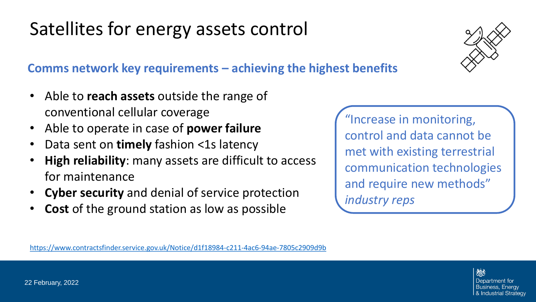# Satellites for energy assets control

#### **Comms network key requirements – achieving the highest benefits**

- Able to **reach assets** outside the range of conventional cellular coverage
- Able to operate in case of **power failure**
- Data sent on **timely** fashion <1s latency
- **High reliability**: many assets are difficult to access for maintenance
- **Cyber security** and denial of service protection
- **Cost** of the ground station as low as possible

"Increase in monitoring,  $\int$  control and data control and data cannot be met with existing terrestrial communication technologies and require new methods" *industry reps* 

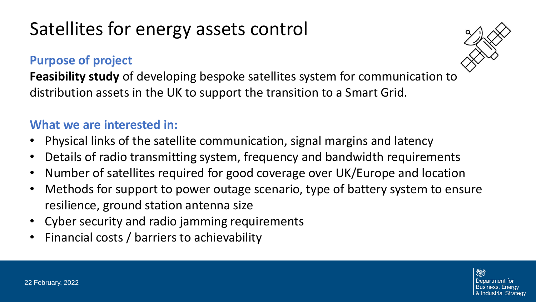## Satellites for energy assets control

#### **Purpose of project**



**Feasibility study** of developing bespoke satellites system for communication to distribution assets in the UK to support the transition to a Smart Grid.

#### **What we are interested in:**

- (Send backwards until image appears • Physical links of the satellite communication, signal margins and latency
- Details of radio transmitting system, frequency and bandwidth requirements
- Number of satellites required for good coverage over UK/Europe and location
- Methods for support to power outage scenario, type of battery system to ensure resilience, ground station antenna size
- Cyber security and radio jamming requirements
- Financial costs / barriers to achievability